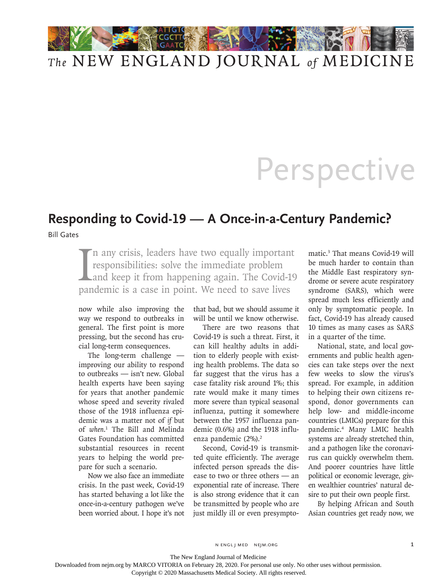## *The* NEW ENGLAND JOURNAL *of* MEDICINE

## Perspective

## **Responding to Covid-19 — A Once-in-a-Century Pandemic?**

Bill Gates

I<br>Dan n any crisis, leaders have two equally important responsibilities: solve the immediate problem and keep it from happening again. The Covid-19 pandemic is a case in point. We need to save lives

now while also improving the way we respond to outbreaks in general. The first point is more pressing, but the second has crucial long-term consequences.

The long-term challenge improving our ability to respond to outbreaks — isn't new. Global health experts have been saying for years that another pandemic whose speed and severity rivaled those of the 1918 influenza epidemic was a matter not of *if* but of *when*. 1 The Bill and Melinda Gates Foundation has committed substantial resources in recent years to helping the world prepare for such a scenario.

Now we also face an immediate crisis. In the past week, Covid-19 has started behaving a lot like the once-in-a-century pathogen we've been worried about. I hope it's not

that bad, but we should assume it will be until we know otherwise.

There are two reasons that Covid-19 is such a threat. First, it can kill healthy adults in addition to elderly people with existing health problems. The data so far suggest that the virus has a case fatality risk around 1%; this rate would make it many times more severe than typical seasonal influenza, putting it somewhere between the 1957 influenza pandemic (0.6%) and the 1918 influenza pandemic (2%).<sup>2</sup>

Second, Covid-19 is transmitted quite efficiently. The average infected person spreads the disease to two or three others — an exponential rate of increase. There is also strong evidence that it can be transmitted by people who are just mildly ill or even presympto-

matic.3 That means Covid-19 will be much harder to contain than the Middle East respiratory syndrome or severe acute respiratory syndrome (SARS), which were spread much less efficiently and only by symptomatic people. In fact, Covid-19 has already caused 10 times as many cases as SARS in a quarter of the time.

National, state, and local governments and public health agencies can take steps over the next few weeks to slow the virus's spread. For example, in addition to helping their own citizens respond, donor governments can help low- and middle-income countries (LMICs) prepare for this pandemic.4 Many LMIC health systems are already stretched thin, and a pathogen like the coronavirus can quickly overwhelm them. And poorer countries have little political or economic leverage, given wealthier countries' natural desire to put their own people first.

By helping African and South Asian countries get ready now, we

N ENGL J MED NEJM.ORG 1

The New England Journal of Medicine

Downloaded from nejm.org by MARCO VITORIA on February 28, 2020. For personal use only. No other uses without permission.

Copyright © 2020 Massachusetts Medical Society. All rights reserved.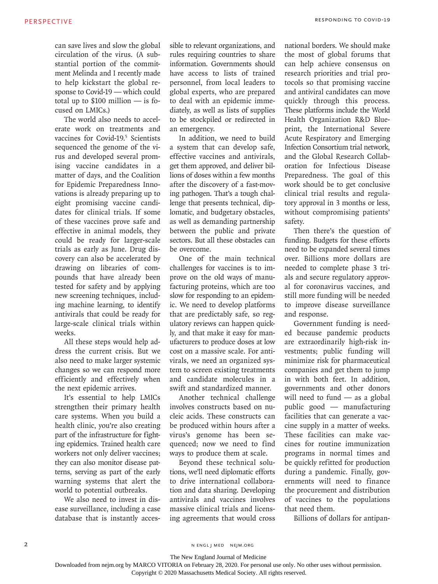can save lives and slow the global circulation of the virus. (A substantial portion of the commitment Melinda and I recently made to help kickstart the global response to Covid-19 — which could total up to \$100 million — is focused on LMICs.)

The world also needs to accelerate work on treatments and vaccines for Covid-19.<sup>5</sup> Scientists sequenced the genome of the virus and developed several promising vaccine candidates in a matter of days, and the Coalition for Epidemic Preparedness Innovations is already preparing up to eight promising vaccine candidates for clinical trials. If some of these vaccines prove safe and effective in animal models, they could be ready for larger-scale trials as early as June. Drug discovery can also be accelerated by drawing on libraries of compounds that have already been tested for safety and by applying new screening techniques, including machine learning, to identify antivirals that could be ready for large-scale clinical trials within weeks.

All these steps would help address the current crisis. But we also need to make larger systemic changes so we can respond more efficiently and effectively when the next epidemic arrives.

It's essential to help LMICs strengthen their primary health care systems. When you build a health clinic, you're also creating part of the infrastructure for fighting epidemics. Trained health care workers not only deliver vaccines; they can also monitor disease patterns, serving as part of the early warning systems that alert the world to potential outbreaks.

We also need to invest in disease surveillance, including a case database that is instantly accessible to relevant organizations, and rules requiring countries to share information. Governments should have access to lists of trained personnel, from local leaders to global experts, who are prepared to deal with an epidemic immediately, as well as lists of supplies to be stockpiled or redirected in an emergency.

In addition, we need to build a system that can develop safe, effective vaccines and antivirals, get them approved, and deliver billions of doses within a few months after the discovery of a fast-moving pathogen. That's a tough challenge that presents technical, diplomatic, and budgetary obstacles, as well as demanding partnership between the public and private sectors. But all these obstacles can be overcome.

One of the main technical challenges for vaccines is to improve on the old ways of manufacturing proteins, which are too slow for responding to an epidemic. We need to develop platforms that are predictably safe, so regulatory reviews can happen quickly, and that make it easy for manufacturers to produce doses at low cost on a massive scale. For antivirals, we need an organized system to screen existing treatments and candidate molecules in a swift and standardized manner.

Another technical challenge involves constructs based on nucleic acids. These constructs can be produced within hours after a virus's genome has been sequenced; now we need to find ways to produce them at scale.

Beyond these technical solutions, we'll need diplomatic efforts to drive international collaboration and data sharing. Developing antivirals and vaccines involves massive clinical trials and licensing agreements that would cross national borders. We should make the most of global forums that can help achieve consensus on research priorities and trial protocols so that promising vaccine and antiviral candidates can move quickly through this process. These platforms include the World Health Organization R&D Blueprint, the International Severe Acute Respiratory and Emerging Infection Consortium trial network, and the Global Research Collaboration for Infectious Disease Preparedness. The goal of this work should be to get conclusive clinical trial results and regulatory approval in 3 months or less, without compromising patients' safety.

Then there's the question of funding. Budgets for these efforts need to be expanded several times over. Billions more dollars are needed to complete phase 3 trials and secure regulatory approval for coronavirus vaccines, and still more funding will be needed to improve disease surveillance and response.

Government funding is needed because pandemic products are extraordinarily high-risk investments; public funding will minimize risk for pharmaceutical companies and get them to jump in with both feet. In addition, governments and other donors will need to fund — as a global public good — manufacturing facilities that can generate a vaccine supply in a matter of weeks. These facilities can make vaccines for routine immunization programs in normal times and be quickly refitted for production during a pandemic. Finally, governments will need to finance the procurement and distribution of vaccines to the populations that need them.

Billions of dollars for antipan-

n engl j med nejm.org

Downloaded from nejm.org by MARCO VITORIA on February 28, 2020. For personal use only. No other uses without permission.

Copyright © 2020 Massachusetts Medical Society. All rights reserved.